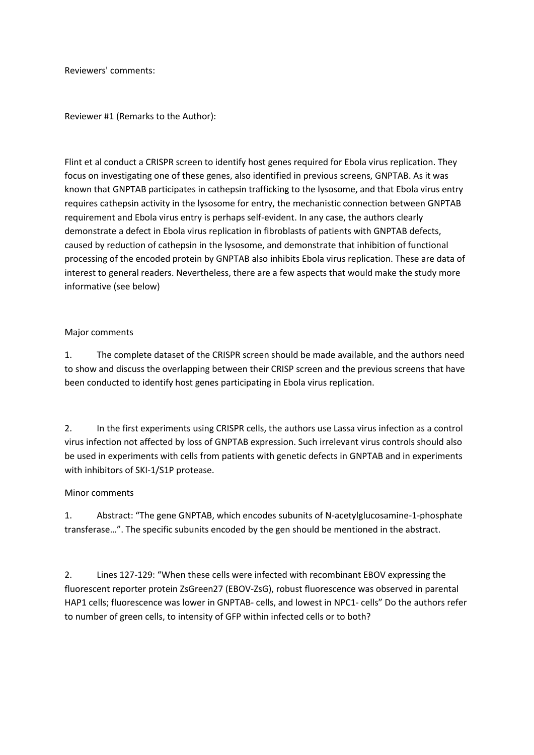Reviewers' comments:

Reviewer #1 (Remarks to the Author):

Flint et al conduct a CRISPR screen to identify host genes required for Ebola virus replication. They focus on investigating one of these genes, also identified in previous screens, GNPTAB. As it was known that GNPTAB participates in cathepsin trafficking to the lysosome, and that Ebola virus entry requires cathepsin activity in the lysosome for entry, the mechanistic connection between GNPTAB requirement and Ebola virus entry is perhaps self-evident. In any case, the authors clearly demonstrate a defect in Ebola virus replication in fibroblasts of patients with GNPTAB defects, caused by reduction of cathepsin in the lysosome, and demonstrate that inhibition of functional processing of the encoded protein by GNPTAB also inhibits Ebola virus replication. These are data of interest to general readers. Nevertheless, there are a few aspects that would make the study more informative (see below)

### Major comments

1. The complete dataset of the CRISPR screen should be made available, and the authors need to show and discuss the overlapping between their CRISP screen and the previous screens that have been conducted to identify host genes participating in Ebola virus replication.

2. In the first experiments using CRISPR cells, the authors use Lassa virus infection as a control virus infection not affected by loss of GNPTAB expression. Such irrelevant virus controls should also be used in experiments with cells from patients with genetic defects in GNPTAB and in experiments with inhibitors of SKI-1/S1P protease.

## Minor comments

1. Abstract: "The gene GNPTAB, which encodes subunits of N-acetylglucosamine-1-phosphate transferase…". The specific subunits encoded by the gen should be mentioned in the abstract.

2. Lines 127-129: "When these cells were infected with recombinant EBOV expressing the fluorescent reporter protein ZsGreen27 (EBOV-ZsG), robust fluorescence was observed in parental HAP1 cells; fluorescence was lower in GNPTAB- cells, and lowest in NPC1- cells" Do the authors refer to number of green cells, to intensity of GFP within infected cells or to both?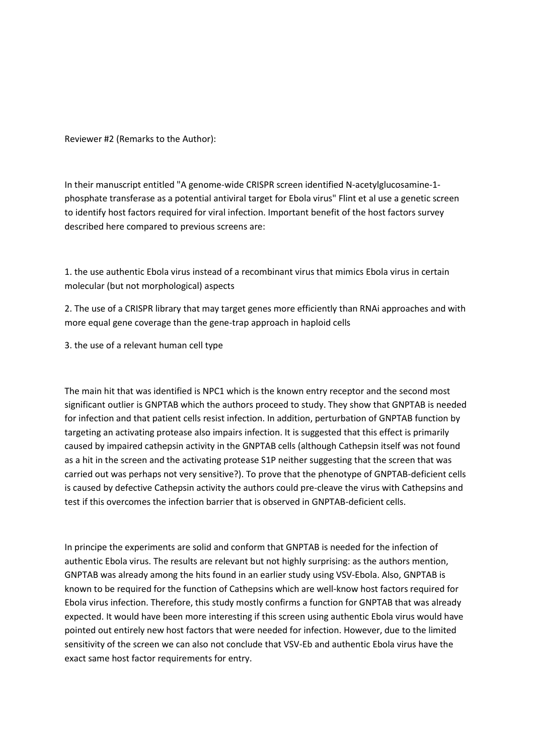Reviewer #2 (Remarks to the Author):

In their manuscript entitled "A genome-wide CRISPR screen identified N-acetylglucosamine-1 phosphate transferase as a potential antiviral target for Ebola virus" Flint et al use a genetic screen to identify host factors required for viral infection. Important benefit of the host factors survey described here compared to previous screens are:

1. the use authentic Ebola virus instead of a recombinant virus that mimics Ebola virus in certain molecular (but not morphological) aspects

2. The use of a CRISPR library that may target genes more efficiently than RNAi approaches and with more equal gene coverage than the gene-trap approach in haploid cells

3. the use of a relevant human cell type

The main hit that was identified is NPC1 which is the known entry receptor and the second most significant outlier is GNPTAB which the authors proceed to study. They show that GNPTAB is needed for infection and that patient cells resist infection. In addition, perturbation of GNPTAB function by targeting an activating protease also impairs infection. It is suggested that this effect is primarily caused by impaired cathepsin activity in the GNPTAB cells (although Cathepsin itself was not found as a hit in the screen and the activating protease S1P neither suggesting that the screen that was carried out was perhaps not very sensitive?). To prove that the phenotype of GNPTAB-deficient cells is caused by defective Cathepsin activity the authors could pre-cleave the virus with Cathepsins and test if this overcomes the infection barrier that is observed in GNPTAB-deficient cells.

In principe the experiments are solid and conform that GNPTAB is needed for the infection of authentic Ebola virus. The results are relevant but not highly surprising: as the authors mention, GNPTAB was already among the hits found in an earlier study using VSV-Ebola. Also, GNPTAB is known to be required for the function of Cathepsins which are well-know host factors required for Ebola virus infection. Therefore, this study mostly confirms a function for GNPTAB that was already expected. It would have been more interesting if this screen using authentic Ebola virus would have pointed out entirely new host factors that were needed for infection. However, due to the limited sensitivity of the screen we can also not conclude that VSV-Eb and authentic Ebola virus have the exact same host factor requirements for entry.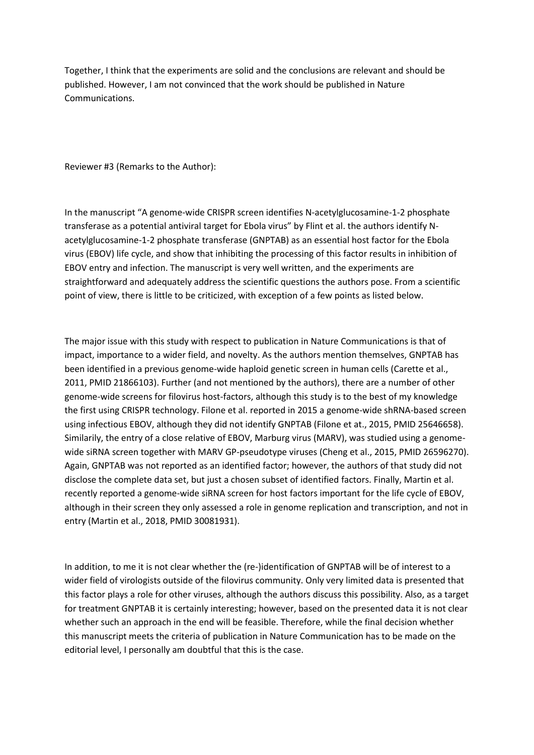Together, I think that the experiments are solid and the conclusions are relevant and should be published. However, I am not convinced that the work should be published in Nature Communications.

Reviewer #3 (Remarks to the Author):

In the manuscript "A genome-wide CRISPR screen identifies N-acetylglucosamine-1-2 phosphate transferase as a potential antiviral target for Ebola virus" by Flint et al. the authors identify Nacetylglucosamine-1-2 phosphate transferase (GNPTAB) as an essential host factor for the Ebola virus (EBOV) life cycle, and show that inhibiting the processing of this factor results in inhibition of EBOV entry and infection. The manuscript is very well written, and the experiments are straightforward and adequately address the scientific questions the authors pose. From a scientific point of view, there is little to be criticized, with exception of a few points as listed below.

The major issue with this study with respect to publication in Nature Communications is that of impact, importance to a wider field, and novelty. As the authors mention themselves, GNPTAB has been identified in a previous genome-wide haploid genetic screen in human cells (Carette et al., 2011, PMID 21866103). Further (and not mentioned by the authors), there are a number of other genome-wide screens for filovirus host-factors, although this study is to the best of my knowledge the first using CRISPR technology. Filone et al. reported in 2015 a genome-wide shRNA-based screen using infectious EBOV, although they did not identify GNPTAB (Filone et at., 2015, PMID 25646658). Similarily, the entry of a close relative of EBOV, Marburg virus (MARV), was studied using a genomewide siRNA screen together with MARV GP-pseudotype viruses (Cheng et al., 2015, PMID 26596270). Again, GNPTAB was not reported as an identified factor; however, the authors of that study did not disclose the complete data set, but just a chosen subset of identified factors. Finally, Martin et al. recently reported a genome-wide siRNA screen for host factors important for the life cycle of EBOV, although in their screen they only assessed a role in genome replication and transcription, and not in entry (Martin et al., 2018, PMID 30081931).

In addition, to me it is not clear whether the (re-)identification of GNPTAB will be of interest to a wider field of virologists outside of the filovirus community. Only very limited data is presented that this factor plays a role for other viruses, although the authors discuss this possibility. Also, as a target for treatment GNPTAB it is certainly interesting; however, based on the presented data it is not clear whether such an approach in the end will be feasible. Therefore, while the final decision whether this manuscript meets the criteria of publication in Nature Communication has to be made on the editorial level, I personally am doubtful that this is the case.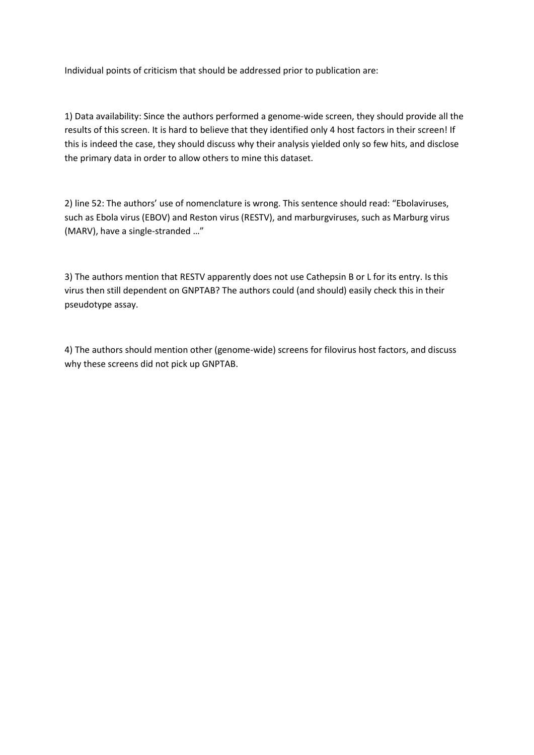Individual points of criticism that should be addressed prior to publication are:

1) Data availability: Since the authors performed a genome-wide screen, they should provide all the results of this screen. It is hard to believe that they identified only 4 host factors in their screen! If this is indeed the case, they should discuss why their analysis yielded only so few hits, and disclose the primary data in order to allow others to mine this dataset.

2) line 52: The authors' use of nomenclature is wrong. This sentence should read: "Ebolaviruses, such as Ebola virus (EBOV) and Reston virus (RESTV), and marburgviruses, such as Marburg virus (MARV), have a single-stranded …"

3) The authors mention that RESTV apparently does not use Cathepsin B or L for its entry. Is this virus then still dependent on GNPTAB? The authors could (and should) easily check this in their pseudotype assay.

4) The authors should mention other (genome-wide) screens for filovirus host factors, and discuss why these screens did not pick up GNPTAB.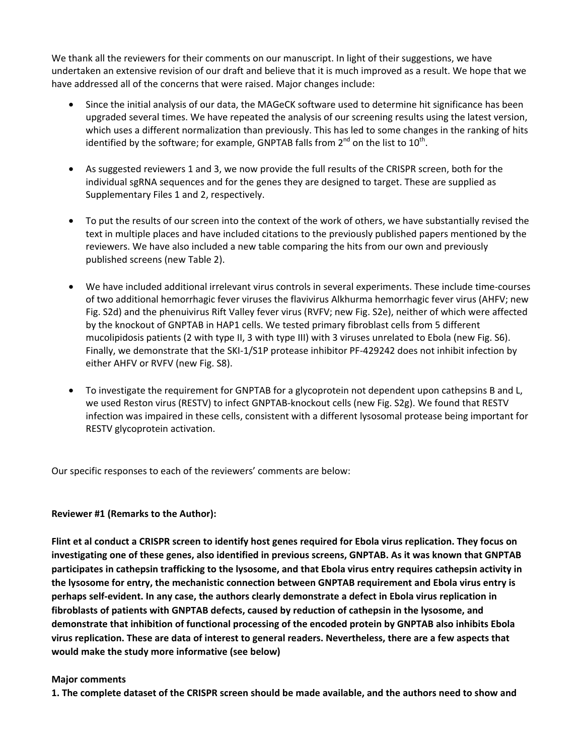We thank all the reviewers for their comments on our manuscript. In light of their suggestions, we have undertaken an extensive revision of our draft and believe that it is much improved as a result. We hope that we have addressed all of the concerns that were raised. Major changes include:

- Since the initial analysis of our data, the MAGeCK software used to determine hit significance has been upgraded several times. We have repeated the analysis of our screening results using the latest version, which uses a different normalization than previously. This has led to some changes in the ranking of hits identified by the software; for example, GNPTAB falls from  $2^{nd}$  on the list to  $10^{th}$ .
- As suggested reviewers 1 and 3, we now provide the full results of the CRISPR screen, both for the individual sgRNA sequences and for the genes they are designed to target. These are supplied as Supplementary Files 1 and 2, respectively.
- To put the results of our screen into the context of the work of others, we have substantially revised the text in multiple places and have included citations to the previously published papers mentioned by the reviewers. We have also included a new table comparing the hits from our own and previously published screens (new Table 2).
- We have included additional irrelevant virus controls in several experiments. These include time-courses of two additional hemorrhagic fever viruses the flavivirus Alkhurma hemorrhagic fever virus (AHFV; new Fig. S2d) and the phenuivirus Rift Valley fever virus (RVFV; new Fig. S2e), neither of which were affected by the knockout of GNPTAB in HAP1 cells. We tested primary fibroblast cells from 5 different mucolipidosis patients (2 with type II, 3 with type III) with 3 viruses unrelated to Ebola (new Fig. S6). Finally, we demonstrate that the SKI-1/S1P protease inhibitor PF-429242 does not inhibit infection by either AHFV or RVFV (new Fig. S8).
- To investigate the requirement for GNPTAB for a glycoprotein not dependent upon cathepsins B and L, we used Reston virus (RESTV) to infect GNPTAB-knockout cells (new Fig. S2g). We found that RESTV infection was impaired in these cells, consistent with a different lysosomal protease being important for RESTV glycoprotein activation.

Our specific responses to each of the reviewers' comments are below:

#### **Reviewer #1 (Remarks to the Author):**

**Flint et al conduct a CRISPR screen to identify host genes required for Ebola virus replication. They focus on investigating one of these genes, also identified in previous screens, GNPTAB. As it was known that GNPTAB participates in cathepsin trafficking to the lysosome, and that Ebola virus entry requires cathepsin activity in the lysosome for entry, the mechanistic connection between GNPTAB requirement and Ebola virus entry is perhaps self-evident. In any case, the authors clearly demonstrate a defect in Ebola virus replication in fibroblasts of patients with GNPTAB defects, caused by reduction of cathepsin in the lysosome, and demonstrate that inhibition of functional processing of the encoded protein by GNPTAB also inhibits Ebola virus replication. These are data of interest to general readers. Nevertheless, there are a few aspects that would make the study more informative (see below)** 

#### **Major comments**

**1. The complete dataset of the CRISPR screen should be made available, and the authors need to show and**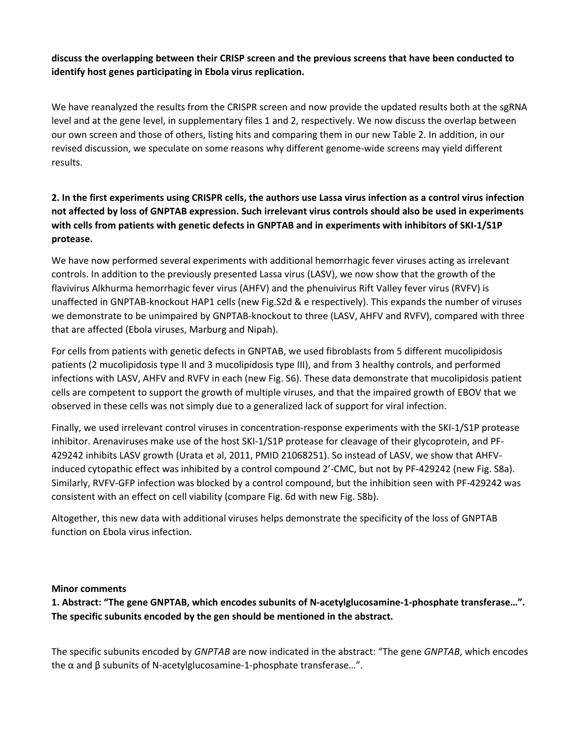## **discuss the overlapping between their CRISP screen and the previous screens that have been conducted to identify host genes participating in Ebola virus replication.**

We have reanalyzed the results from the CRISPR screen and now provide the updated results both at the sgRNA level and at the gene level, in supplementary files 1 and 2, respectively. We now discuss the overlap between our own screen and those of others, listing hits and comparing them in our new Table 2. In addition, in our revised discussion, we speculate on some reasons why different genome-wide screens may yield different results.

# **2. In the first experiments using CRISPR cells, the authors use Lassa virus infection as a control virus infection not affected by loss of GNPTAB expression. Such irrelevant virus controls should also be used in experiments with cells from patients with genetic defects in GNPTAB and in experiments with inhibitors of SKI-1/S1P protease.**

We have now performed several experiments with additional hemorrhagic fever viruses acting as irrelevant controls. In addition to the previously presented Lassa virus (LASV), we now show that the growth of the flavivirus Alkhurma hemorrhagic fever virus (AHFV) and the phenuivirus Rift Valley fever virus (RVFV) is unaffected in GNPTAB-knockout HAP1 cells (new Fig.S2d & e respectively). This expands the number of viruses we demonstrate to be unimpaired by GNPTAB-knockout to three (LASV, AHFV and RVFV), compared with three that are affected (Ebola viruses, Marburg and Nipah).

For cells from patients with genetic defects in GNPTAB, we used fibroblasts from 5 different mucolipidosis patients (2 mucolipidosis type II and 3 mucolipidosis type III), and from 3 healthy controls, and performed infections with LASV, AHFV and RVFV in each (new Fig. S6). These data demonstrate that mucolipidosis patient cells are competent to support the growth of multiple viruses, and that the impaired growth of EBOV that we observed in these cells was not simply due to a generalized lack of support for viral infection.

Finally, we used irrelevant control viruses in concentration-response experiments with the SKI-1/S1P protease inhibitor. Arenaviruses make use of the host SKI-1/S1P protease for cleavage of their glycoprotein, and PF-429242 inhibits LASV growth (Urata et al, 2011, PMID 21068251). So instead of LASV, we show that AHFVinduced cytopathic effect was inhibited by a control compound 2'-CMC, but not by PF-429242 (new Fig. S8a). Similarly, RVFV-GFP infection was blocked by a control compound, but the inhibition seen with PF-429242 was consistent with an effect on cell viability (compare Fig. 6d with new Fig. S8b).

Altogether, this new data with additional viruses helps demonstrate the specificity of the loss of GNPTAB function on Ebola virus infection.

#### **Minor comments**

**1. Abstract: "The gene GNPTAB, which encodes subunits of N-acetylglucosamine-1-phosphate transferase…". The specific subunits encoded by the gen should be mentioned in the abstract.** 

The specific subunits encoded by *GNPTAB* are now indicated in the abstract: "The gene *GNPTAB*, which encodes the α and β subunits of N-acetylglucosamine-1-phosphate transferase…".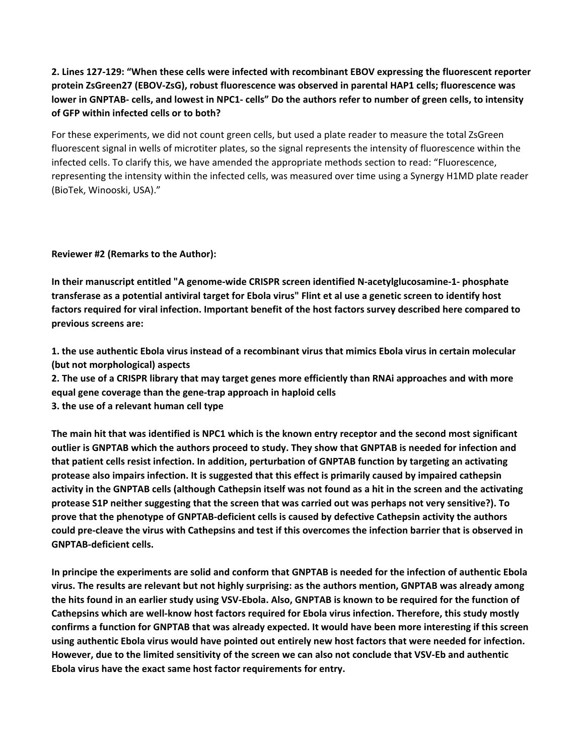## **2. Lines 127-129: "When these cells were infected with recombinant EBOV expressing the fluorescent reporter protein ZsGreen27 (EBOV-ZsG), robust fluorescence was observed in parental HAP1 cells; fluorescence was lower in GNPTAB- cells, and lowest in NPC1- cells" Do the authors refer to number of green cells, to intensity of GFP within infected cells or to both?**

For these experiments, we did not count green cells, but used a plate reader to measure the total ZsGreen fluorescent signal in wells of microtiter plates, so the signal represents the intensity of fluorescence within the infected cells. To clarify this, we have amended the appropriate methods section to read: "Fluorescence, representing the intensity within the infected cells, was measured over time using a Synergy H1MD plate reader (BioTek, Winooski, USA)."

**Reviewer #2 (Remarks to the Author):** 

**In their manuscript entitled "A genome-wide CRISPR screen identified N-acetylglucosamine-1- phosphate transferase as a potential antiviral target for Ebola virus" Flint et al use a genetic screen to identify host factors required for viral infection. Important benefit of the host factors survey described here compared to previous screens are:** 

**1. the use authentic Ebola virus instead of a recombinant virus that mimics Ebola virus in certain molecular (but not morphological) aspects** 

**2. The use of a CRISPR library that may target genes more efficiently than RNAi approaches and with more equal gene coverage than the gene-trap approach in haploid cells** 

**3. the use of a relevant human cell type** 

**The main hit that was identified is NPC1 which is the known entry receptor and the second most significant outlier is GNPTAB which the authors proceed to study. They show that GNPTAB is needed for infection and that patient cells resist infection. In addition, perturbation of GNPTAB function by targeting an activating protease also impairs infection. It is suggested that this effect is primarily caused by impaired cathepsin activity in the GNPTAB cells (although Cathepsin itself was not found as a hit in the screen and the activating protease S1P neither suggesting that the screen that was carried out was perhaps not very sensitive?). To prove that the phenotype of GNPTAB-deficient cells is caused by defective Cathepsin activity the authors could pre-cleave the virus with Cathepsins and test if this overcomes the infection barrier that is observed in GNPTAB-deficient cells.** 

**In principe the experiments are solid and conform that GNPTAB is needed for the infection of authentic Ebola virus. The results are relevant but not highly surprising: as the authors mention, GNPTAB was already among the hits found in an earlier study using VSV-Ebola. Also, GNPTAB is known to be required for the function of Cathepsins which are well-know host factors required for Ebola virus infection. Therefore, this study mostly confirms a function for GNPTAB that was already expected. It would have been more interesting if this screen using authentic Ebola virus would have pointed out entirely new host factors that were needed for infection. However, due to the limited sensitivity of the screen we can also not conclude that VSV-Eb and authentic Ebola virus have the exact same host factor requirements for entry.**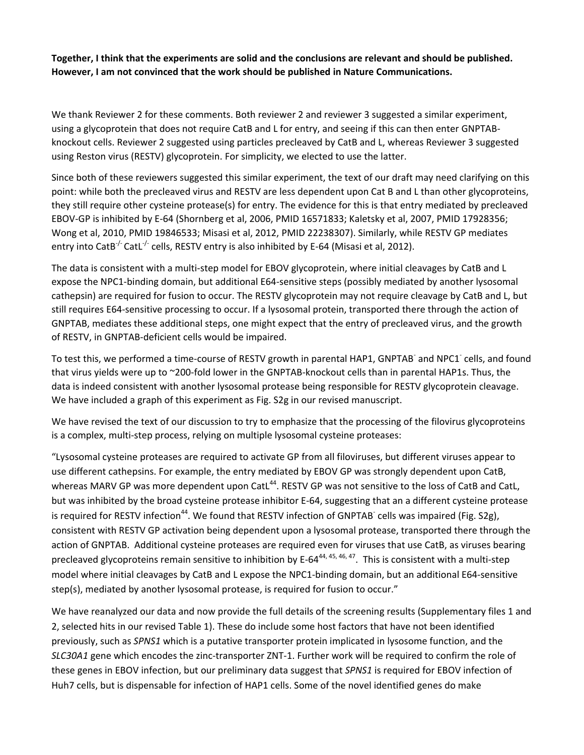**Together, I think that the experiments are solid and the conclusions are relevant and should be published. However, I am not convinced that the work should be published in Nature Communications.** 

We thank Reviewer 2 for these comments. Both reviewer 2 and reviewer 3 suggested a similar experiment, using a glycoprotein that does not require CatB and L for entry, and seeing if this can then enter GNPTABknockout cells. Reviewer 2 suggested using particles precleaved by CatB and L, whereas Reviewer 3 suggested using Reston virus (RESTV) glycoprotein. For simplicity, we elected to use the latter.

Since both of these reviewers suggested this similar experiment, the text of our draft may need clarifying on this point: while both the precleaved virus and RESTV are less dependent upon Cat B and L than other glycoproteins, they still require other cysteine protease(s) for entry. The evidence for this is that entry mediated by precleaved EBOV-GP is inhibited by E-64 (Shornberg et al, 2006, PMID 16571833; Kaletsky et al, 2007, PMID 17928356; Wong et al, 2010, PMID 19846533; Misasi et al, 2012, PMID 22238307). Similarly, while RESTV GP mediates entry into CatB<sup>-/-</sup> CatL<sup>-/-</sup> cells, RESTV entry is also inhibited by E-64 (Misasi et al, 2012).

The data is consistent with a multi-step model for EBOV glycoprotein, where initial cleavages by CatB and L expose the NPC1-binding domain, but additional E64-sensitive steps (possibly mediated by another lysosomal cathepsin) are required for fusion to occur. The RESTV glycoprotein may not require cleavage by CatB and L, but still requires E64-sensitive processing to occur. If a lysosomal protein, transported there through the action of GNPTAB, mediates these additional steps, one might expect that the entry of precleaved virus, and the growth of RESTV, in GNPTAB-deficient cells would be impaired.

To test this, we performed a time-course of RESTV growth in parental HAP1, GNPTAB<sup>-</sup> and NPC1<sup>-</sup> cells, and found that virus yields were up to ~200-fold lower in the GNPTAB-knockout cells than in parental HAP1s. Thus, the data is indeed consistent with another lysosomal protease being responsible for RESTV glycoprotein cleavage. We have included a graph of this experiment as Fig. S2g in our revised manuscript.

We have revised the text of our discussion to try to emphasize that the processing of the filovirus glycoproteins is a complex, multi-step process, relying on multiple lysosomal cysteine proteases:

"Lysosomal cysteine proteases are required to activate GP from all filoviruses, but different viruses appear to use different cathepsins. For example, the entry mediated by EBOV GP was strongly dependent upon CatB, whereas MARV GP was more dependent upon CatL<sup>44</sup>. RESTV GP was not sensitive to the loss of CatB and CatL, but was inhibited by the broad cysteine protease inhibitor E-64, suggesting that an a different cysteine protease is required for RESTV infection<sup>44</sup>. We found that RESTV infection of GNPTAB<sup>-</sup> cells was impaired (Fig. S2g), consistent with RESTV GP activation being dependent upon a lysosomal protease, transported there through the action of GNPTAB. Additional cysteine proteases are required even for viruses that use CatB, as viruses bearing precleaved glycoproteins remain sensitive to inhibition by E-64<sup>44, 45, 46, 47</sup>. This is consistent with a multi-step model where initial cleavages by CatB and L expose the NPC1-binding domain, but an additional E64-sensitive step(s), mediated by another lysosomal protease, is required for fusion to occur."

We have reanalyzed our data and now provide the full details of the screening results (Supplementary files 1 and 2, selected hits in our revised Table 1). These do include some host factors that have not been identified previously, such as *SPNS1* which is a putative transporter protein implicated in lysosome function, and the *SLC30A1* gene which encodes the zinc-transporter ZNT-1. Further work will be required to confirm the role of these genes in EBOV infection, but our preliminary data suggest that *SPNS1* is required for EBOV infection of Huh7 cells, but is dispensable for infection of HAP1 cells. Some of the novel identified genes do make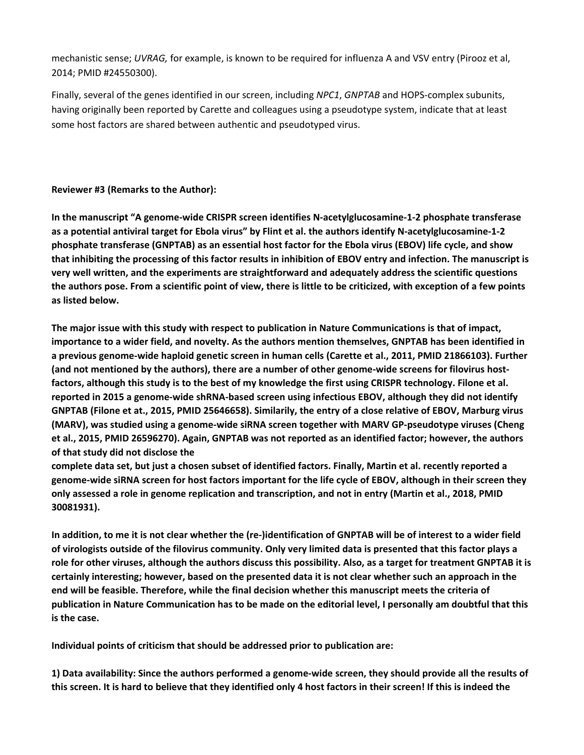mechanistic sense; *UVRAG,* for example, is known to be required for influenza A and VSV entry (Pirooz et al, 2014; PMID #24550300).

Finally, several of the genes identified in our screen, including *NPC1*, *GNPTAB* and HOPS-complex subunits, having originally been reported by Carette and colleagues using a pseudotype system, indicate that at least some host factors are shared between authentic and pseudotyped virus.

### **Reviewer #3 (Remarks to the Author):**

**In the manuscript "A genome-wide CRISPR screen identifies N-acetylglucosamine-1-2 phosphate transferase as a potential antiviral target for Ebola virus" by Flint et al. the authors identify N-acetylglucosamine-1-2 phosphate transferase (GNPTAB) as an essential host factor for the Ebola virus (EBOV) life cycle, and show that inhibiting the processing of this factor results in inhibition of EBOV entry and infection. The manuscript is very well written, and the experiments are straightforward and adequately address the scientific questions the authors pose. From a scientific point of view, there is little to be criticized, with exception of a few points as listed below.** 

**The major issue with this study with respect to publication in Nature Communications is that of impact, importance to a wider field, and novelty. As the authors mention themselves, GNPTAB has been identified in a previous genome-wide haploid genetic screen in human cells (Carette et al., 2011, PMID 21866103). Further (and not mentioned by the authors), there are a number of other genome-wide screens for filovirus hostfactors, although this study is to the best of my knowledge the first using CRISPR technology. Filone et al. reported in 2015 a genome-wide shRNA-based screen using infectious EBOV, although they did not identify GNPTAB (Filone et at., 2015, PMID 25646658). Similarily, the entry of a close relative of EBOV, Marburg virus (MARV), was studied using a genome-wide siRNA screen together with MARV GP-pseudotype viruses (Cheng et al., 2015, PMID 26596270). Again, GNPTAB was not reported as an identified factor; however, the authors of that study did not disclose the** 

**complete data set, but just a chosen subset of identified factors. Finally, Martin et al. recently reported a genome-wide siRNA screen for host factors important for the life cycle of EBOV, although in their screen they only assessed a role in genome replication and transcription, and not in entry (Martin et al., 2018, PMID 30081931).** 

**In addition, to me it is not clear whether the (re-)identification of GNPTAB will be of interest to a wider field of virologists outside of the filovirus community. Only very limited data is presented that this factor plays a role for other viruses, although the authors discuss this possibility. Also, as a target for treatment GNPTAB it is certainly interesting; however, based on the presented data it is not clear whether such an approach in the end will be feasible. Therefore, while the final decision whether this manuscript meets the criteria of publication in Nature Communication has to be made on the editorial level, I personally am doubtful that this is the case.** 

**Individual points of criticism that should be addressed prior to publication are:** 

**1) Data availability: Since the authors performed a genome-wide screen, they should provide all the results of this screen. It is hard to believe that they identified only 4 host factors in their screen! If this is indeed the**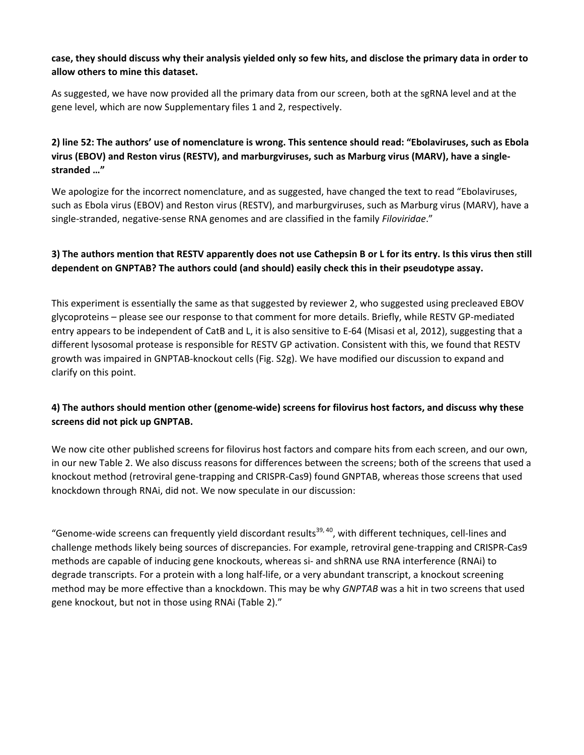## **case, they should discuss why their analysis yielded only so few hits, and disclose the primary data in order to allow others to mine this dataset.**

As suggested, we have now provided all the primary data from our screen, both at the sgRNA level and at the gene level, which are now Supplementary files 1 and 2, respectively.

## **2) line 52: The authors' use of nomenclature is wrong. This sentence should read: "Ebolaviruses, such as Ebola virus (EBOV) and Reston virus (RESTV), and marburgviruses, such as Marburg virus (MARV), have a singlestranded …"**

We apologize for the incorrect nomenclature, and as suggested, have changed the text to read "Ebolaviruses, such as Ebola virus (EBOV) and Reston virus (RESTV), and marburgviruses, such as Marburg virus (MARV), have a single-stranded, negative-sense RNA genomes and are classified in the family *Filoviridae*."

## **3) The authors mention that RESTV apparently does not use Cathepsin B or L for its entry. Is this virus then still dependent on GNPTAB? The authors could (and should) easily check this in their pseudotype assay.**

This experiment is essentially the same as that suggested by reviewer 2, who suggested using precleaved EBOV glycoproteins – please see our response to that comment for more details. Briefly, while RESTV GP-mediated entry appears to be independent of CatB and L, it is also sensitive to E-64 (Misasi et al, 2012), suggesting that a different lysosomal protease is responsible for RESTV GP activation. Consistent with this, we found that RESTV growth was impaired in GNPTAB-knockout cells (Fig. S2g). We have modified our discussion to expand and clarify on this point.

## **4) The authors should mention other (genome-wide) screens for filovirus host factors, and discuss why these screens did not pick up GNPTAB.**

We now cite other published screens for filovirus host factors and compare hits from each screen, and our own, in our new Table 2. We also discuss reasons for differences between the screens; both of the screens that used a knockout method (retroviral gene-trapping and CRISPR-Cas9) found GNPTAB, whereas those screens that used knockdown through RNAi, did not. We now speculate in our discussion:

"Genome-wide screens can frequently yield discordant results<sup>39, 40</sup>, with different techniques, cell-lines and challenge methods likely being sources of discrepancies. For example, retroviral gene-trapping and CRISPR-Cas9 methods are capable of inducing gene knockouts, whereas si- and shRNA use RNA interference (RNAi) to degrade transcripts. For a protein with a long half-life, or a very abundant transcript, a knockout screening method may be more effective than a knockdown. This may be why *GNPTAB* was a hit in two screens that used gene knockout, but not in those using RNAi (Table 2)."